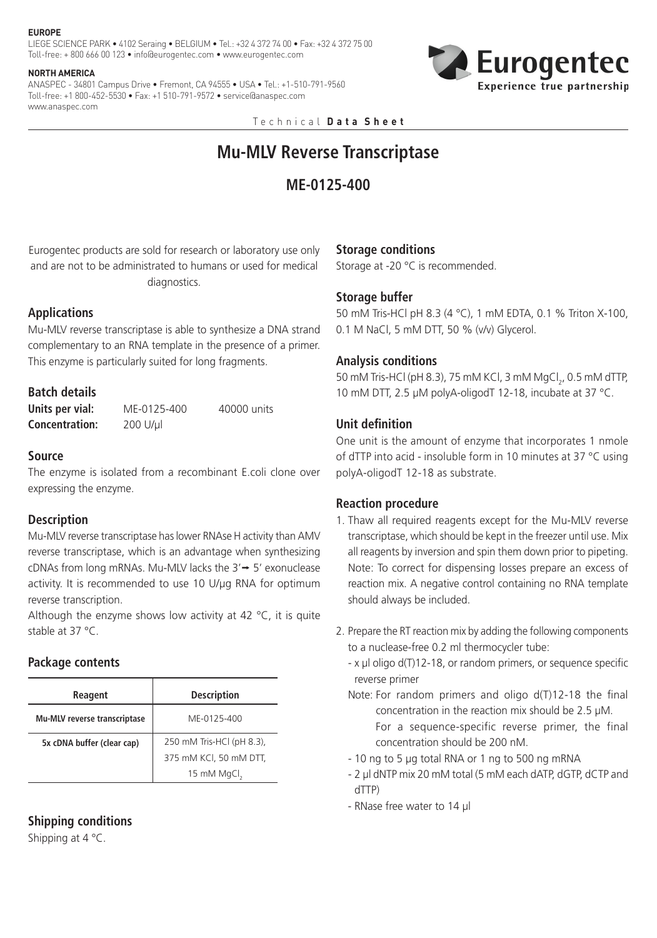#### **EUROPE**

LIEGE SCIENCE PARK • 4102 Seraing • BELGIUM • Tel.: +32 4 372 74 00 • Fax: +32 4 372 75 00 Toll-free: + 800 666 00 123 • info@eurogentec.com • www.eurogentec.com

#### **NORTH AMERICA**

ANASPEC - 34801 Campus Drive • Fremont, CA 94555 • USA • Tel.: +1-510-791-9560 Toll-free: +1 800-452-5530 • Fax: +1 510-791-9572 • service@anaspec.com www.anaspec.com



Technical **D a t a S h e e t**

# **Mu-MLV Reverse Transcriptase**

# **ME-0125-400**

Eurogentec products are sold for research or laboratory use only and are not to be administrated to humans or used for medical diagnostics.

# **Applications**

Mu-MLV reverse transcriptase is able to synthesize a DNA strand complementary to an RNA template in the presence of a primer. This enzyme is particularly suited for long fragments.

# **Batch details**

**Units per vial:** ME-0125-400 40000 units **Concentration:** 200 U/µl

## **Source**

The enzyme is isolated from a recombinant E.coli clone over expressing the enzyme.

## **Description**

Mu-MLV reverse transcriptase has lower RNAse H activity than AMV reverse transcriptase, which is an advantage when synthesizing cDNAs from long mRNAs. Mu-MLV lacks the  $3' \rightarrow 5'$  exonuclease activity. It is recommended to use 10 U/µg RNA for optimum reverse transcription.

Although the enzyme shows low activity at 42  $^{\circ}$ C, it is quite stable at 37 °C.

## **Package contents**

| Reagent                      | <b>Description</b>        |
|------------------------------|---------------------------|
| Mu-MLV reverse transcriptase | MF-0125-400               |
| 5x cDNA buffer (clear cap)   | 250 mM Tris-HCl (pH 8.3), |
|                              | 375 mM KCl, 50 mM DTT,    |
|                              | 15 mM MgCl <sub>2</sub>   |

## **Shipping conditions**

Shipping at 4 °C.

#### **Storage conditions**

Storage at -20 °C is recommended.

# **Storage buffer**

50 mM Tris-HCl pH 8.3 (4 °C), 1 mM EDTA, 0.1 % Triton X-100, 0.1 M NaCl, 5 mM DTT, 50 % (v/v) Glycerol.

## **Analysis conditions**

50 mM Tris-HCl (pH 8.3), 75 mM KCl, 3 mM MgCl<sub>2</sub>, 0.5 mM dTTP, 10 mM DTT, 2.5 µM polyA-oligodT 12-18, incubate at 37 °C.

## **Unit definition**

One unit is the amount of enzyme that incorporates 1 nmole of dTTP into acid - insoluble form in 10 minutes at 37 °C using polyA-oligodT 12-18 as substrate.

## **Reaction procedure**

- 1. Thaw all required reagents except for the Mu-MLV reverse transcriptase, which should be kept in the freezer until use. Mix all reagents by inversion and spin them down prior to pipeting. Note: To correct for dispensing losses prepare an excess of reaction mix. A negative control containing no RNA template should always be included.
- 2. Prepare the RT reaction mix by adding the following components to a nuclease-free 0.2 ml thermocycler tube:
	- x µl oligo d(T)12-18, or random primers, or sequence specific reverse primer
	- Note: For random primers and oligo  $d(T)$ 12-18 the final concentration in the reaction mix should be 2.5 µM. For a sequence-specific reverse primer, the final concentration should be 200 nM.
	- 10 ng to 5 µg total RNA or 1 ng to 500 ng mRNA
	- 2 µl dNTP mix 20 mM total (5 mM each dATP, dGTP, dCTP and dTTP)
	- RNase free water to 14 µl